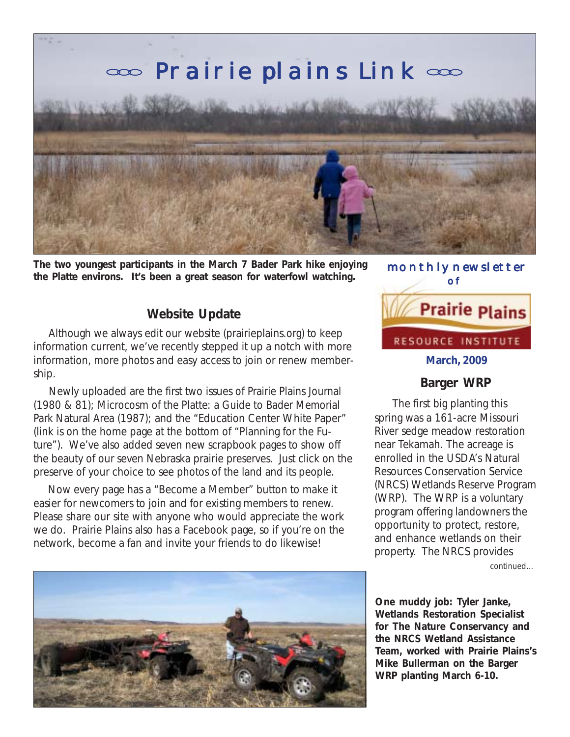

**The two youngest participants in the March 7 Bader Park hike enjoying the Platte environs. It's been a great season for waterfowl watching.**

## **Website Update**

 Although we always edit our website (prairieplains.org) to keep information current, we've recently stepped it up a notch with more information, more photos and easy access to join or renew membership.

 Newly uploaded are the first two issues of *Prairie Plains Journal* (1980 & 81); *Microcosm of the Platte: a Guide to Bader Memorial Park Natural Area* (1987); and the "Education Center White Paper" (link is on the home page at the bottom of "Planning for the Future"). We've also added seven new scrapbook pages to show off the beauty of our seven Nebraska prairie preserves. Just click on the preserve of your choice to see photos of the land and its people.

 Now every page has a "Become a Member" button to make it easier for newcomers to join and for existing members to renew. Please share our site with anyone who would appreciate the work we do. Prairie Plains also has a Facebook page, so if you're on the network, become a fan and invite your friends to do likewise!



### **Barger WRP**

The first big planting this spring was a 161-acre Missouri River sedge meadow restoration near Tekamah. The acreage is enrolled in the USDA's Natural Resources Conservation Service (NRCS) Wetlands Reserve Program (WRP). The WRP is a voluntary program offering landowners the opportunity to protect, restore, and enhance wetlands on their property. The NRCS provides

continued...

**One muddy job: Tyler Janke, Wetlands Restoration Specialist for The Nature Conservancy and the NRCS Wetland Assistance Team, worked with Prairie Plains's Mike Bullerman on the Barger WRP planting March 6-10.**